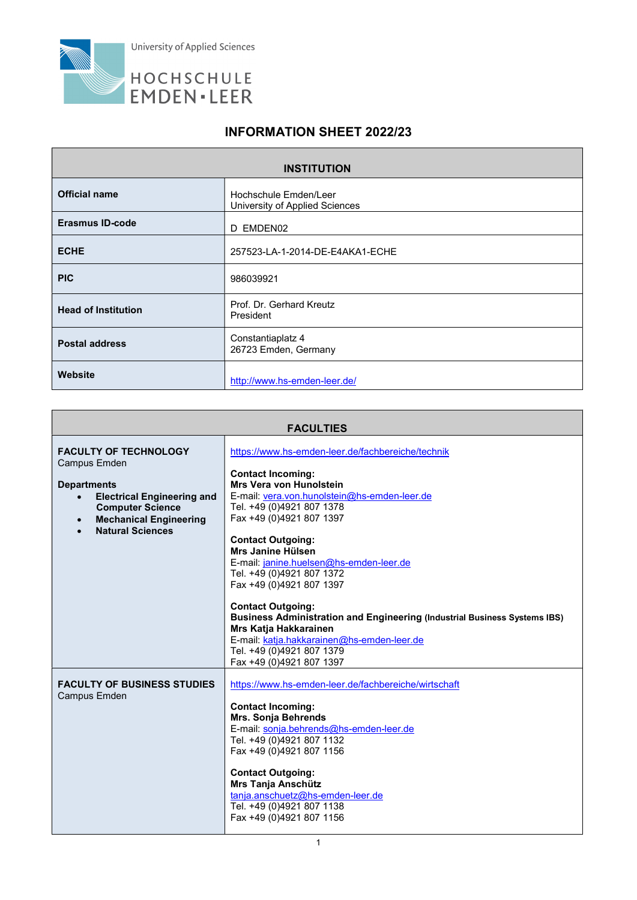

## INFORMATION SHEET 2022/23

| <b>INSTITUTION</b>         |                                                         |  |
|----------------------------|---------------------------------------------------------|--|
| <b>Official name</b>       | Hochschule Emden/Leer<br>University of Applied Sciences |  |
| <b>Erasmus ID-code</b>     | EMDEN02<br>D                                            |  |
| <b>ECHE</b>                | 257523-LA-1-2014-DE-E4AKA1-ECHE                         |  |
| <b>PIC</b>                 | 986039921                                               |  |
| <b>Head of Institution</b> | Prof. Dr. Gerhard Kreutz<br>President                   |  |
| <b>Postal address</b>      | Constantiaplatz 4<br>26723 Emden, Germany               |  |
| Website                    | http://www.hs-emden-leer.de/                            |  |

| <b>FACULTIES</b>                                                                                                                                                                                      |                                                                                                                                                                                                                                                                                                                                                                                                                                                                                                                                                                                                                 |
|-------------------------------------------------------------------------------------------------------------------------------------------------------------------------------------------------------|-----------------------------------------------------------------------------------------------------------------------------------------------------------------------------------------------------------------------------------------------------------------------------------------------------------------------------------------------------------------------------------------------------------------------------------------------------------------------------------------------------------------------------------------------------------------------------------------------------------------|
| <b>FACULTY OF TECHNOLOGY</b><br><b>Campus Emden</b><br><b>Departments</b><br><b>Electrical Engineering and</b><br><b>Computer Science</b><br><b>Mechanical Engineering</b><br><b>Natural Sciences</b> | https://www.hs-emden-leer.de/fachbereiche/technik<br><b>Contact Incoming:</b><br>Mrs Vera von Hunolstein<br>E-mail: vera.von.hunolstein@hs-emden-leer.de<br>Tel. +49 (0)4921 807 1378<br>Fax +49 (0)4921 807 1397<br><b>Contact Outgoing:</b><br>Mrs Janine Hülsen<br>E-mail: janine.huelsen@hs-emden-leer.de<br>Tel. +49 (0)4921 807 1372<br>Fax +49 (0)4921 807 1397<br><b>Contact Outgoing:</b><br>Business Administration and Engineering (Industrial Business Systems IBS)<br>Mrs Katja Hakkarainen<br>E-mail: katja.hakkarainen@hs-emden-leer.de<br>Tel. +49 (0)4921 807 1379<br>Fax +49 (0)4921 807 1397 |
| <b>FACULTY OF BUSINESS STUDIES</b><br><b>Campus Emden</b>                                                                                                                                             | https://www.hs-emden-leer.de/fachbereiche/wirtschaft<br><b>Contact Incoming:</b><br><b>Mrs. Sonja Behrends</b><br>E-mail: sonja.behrends@hs-emden-leer.de<br>Tel. +49 (0)4921 807 1132<br>Fax +49 (0)4921 807 1156<br><b>Contact Outgoing:</b><br><b>Mrs Tanja Anschütz</b><br>tanja.anschuetz@hs-emden-leer.de<br>Tel. +49 (0)4921 807 1138<br>Fax +49 (0)4921 807 1156                                                                                                                                                                                                                                        |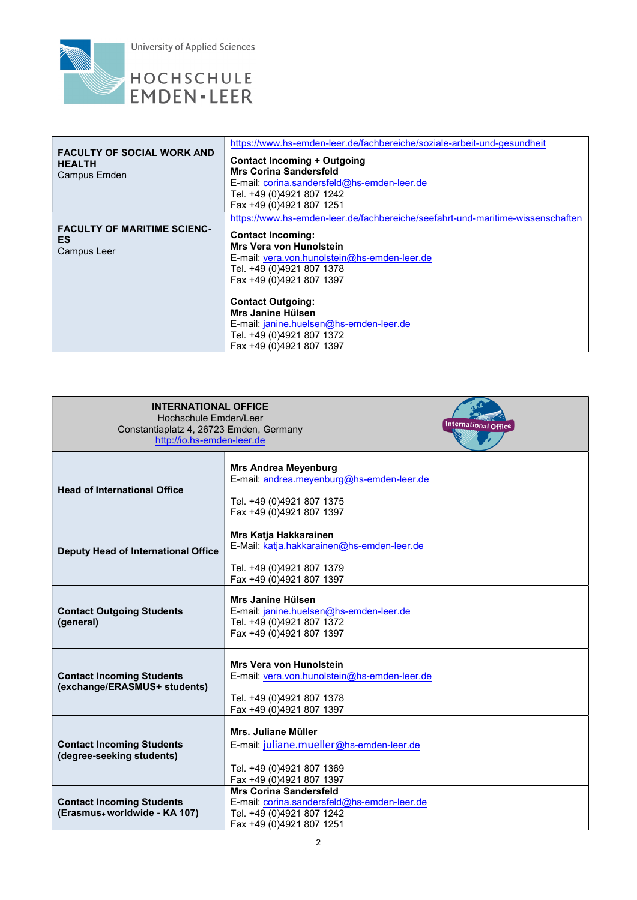

| <b>FACULTY OF SOCIAL WORK AND</b><br><b>HEALTH</b><br>Campus Emden | https://www.hs-emden-leer.de/fachbereiche/soziale-arbeit-und-gesundheit<br>Contact Incoming + Outgoing<br><b>Mrs Corina Sandersfeld</b><br>E-mail: corina.sandersfeld@hs-emden-leer.de<br>Tel. +49 (0)4921 807 1242<br>Fax +49 (0)4921 807 1251       |
|--------------------------------------------------------------------|-------------------------------------------------------------------------------------------------------------------------------------------------------------------------------------------------------------------------------------------------------|
| <b>FACULTY OF MARITIME SCIENC-</b><br>ES.<br>Campus Leer           | https://www.hs-emden-leer.de/fachbereiche/seefahrt-und-maritime-wissenschaften<br><b>Contact Incoming:</b><br><b>Mrs Vera von Hunolstein</b><br>E-mail: vera.von.hunolstein@hs-emden-leer.de<br>Tel. +49 (0)4921 807 1378<br>Fax +49 (0)4921 807 1397 |
|                                                                    | <b>Contact Outgoing:</b><br>Mrs Janine Hülsen<br>E-mail: janine.huelsen@hs-emden-leer.de<br>Tel. +49 (0)4921 807 1372<br>Fax +49 (0)4921 807 1397                                                                                                     |

| <b>INTERNATIONAL OFFICE</b><br>Hochschule Emden/Leer<br>International Office<br>Constantiaplatz 4, 26723 Emden, Germany<br>http://io.hs-emden-leer.de |                                                                                                                                         |  |
|-------------------------------------------------------------------------------------------------------------------------------------------------------|-----------------------------------------------------------------------------------------------------------------------------------------|--|
| <b>Head of International Office</b>                                                                                                                   | <b>Mrs Andrea Meyenburg</b><br>E-mail: andrea.meyenburg@hs-emden-leer.de<br>Tel. +49 (0)4921 807 1375<br>Fax +49 (0)4921 807 1397       |  |
| Deputy Head of International Office                                                                                                                   | Mrs Katja Hakkarainen<br>E-Mail: katja.hakkarainen@hs-emden-leer.de<br>Tel. +49 (0)4921 807 1379<br>Fax +49 (0)4921 807 1397            |  |
| <b>Contact Outgoing Students</b><br>(general)                                                                                                         | Mrs Janine Hülsen<br>E-mail: janine.huelsen@hs-emden-leer.de<br>Tel. +49 (0)4921 807 1372<br>Fax +49 (0)4921 807 1397                   |  |
| <b>Contact Incoming Students</b><br>(exchange/ERASMUS+ students)                                                                                      | <b>Mrs Vera von Hunolstein</b><br>E-mail: vera.von.hunolstein@hs-emden-leer.de<br>Tel. +49 (0)4921 807 1378<br>Fax +49 (0)4921 807 1397 |  |
| <b>Contact Incoming Students</b><br>(degree-seeking students)                                                                                         | Mrs. Juliane Müller<br>E-mail: juliane.mueller@hs-emden-leer.de<br>Tel. +49 (0)4921 807 1369<br>Fax +49 (0)4921 807 1397                |  |
| <b>Contact Incoming Students</b><br>(Erasmus+ worldwide - KA 107)                                                                                     | <b>Mrs Corina Sandersfeld</b><br>E-mail: corina.sandersfeld@hs-emden-leer.de<br>Tel. +49 (0)4921 807 1242<br>Fax +49 (0)4921 807 1251   |  |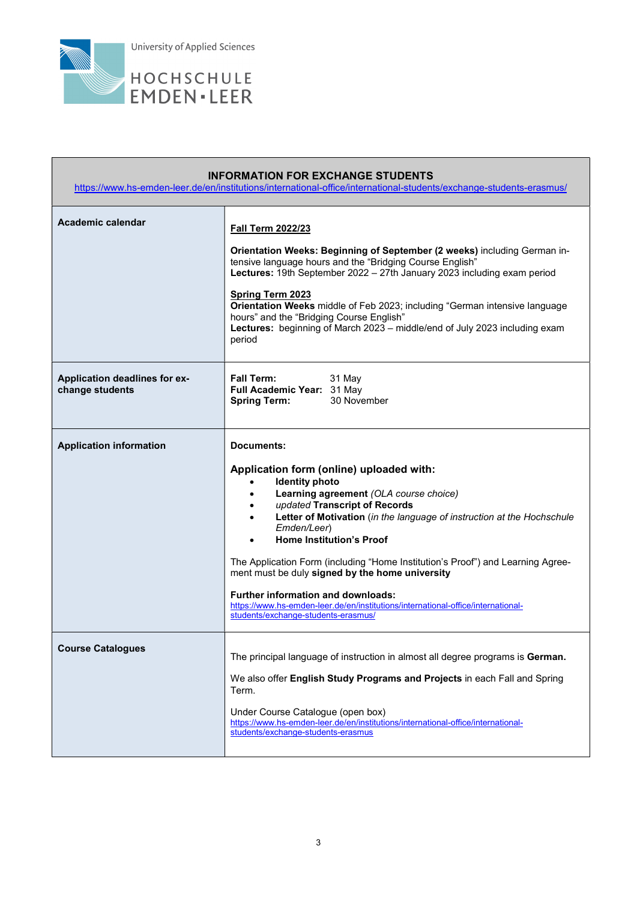

Г

| <b>INFORMATION FOR EXCHANGE STUDENTS</b><br>https://www.hs-emden-leer.de/en/institutions/international-office/international-students/exchange-students-erasmus/ |                                                                                                                                                                                                                                                                                                                                                                                                                                                                                                                                                                                                      |
|-----------------------------------------------------------------------------------------------------------------------------------------------------------------|------------------------------------------------------------------------------------------------------------------------------------------------------------------------------------------------------------------------------------------------------------------------------------------------------------------------------------------------------------------------------------------------------------------------------------------------------------------------------------------------------------------------------------------------------------------------------------------------------|
| Academic calendar                                                                                                                                               | <b>Fall Term 2022/23</b><br>Orientation Weeks: Beginning of September (2 weeks) including German in-<br>tensive language hours and the "Bridging Course English"<br>Lectures: 19th September 2022 - 27th January 2023 including exam period<br>Spring Term 2023<br>Orientation Weeks middle of Feb 2023; including "German intensive language<br>hours" and the "Bridging Course English"<br>Lectures: beginning of March 2023 - middle/end of July 2023 including exam<br>period                                                                                                                    |
| Application deadlines for ex-<br>change students                                                                                                                | <b>Fall Term:</b><br>31 May<br>Full Academic Year: 31 May<br>30 November<br><b>Spring Term:</b>                                                                                                                                                                                                                                                                                                                                                                                                                                                                                                      |
| <b>Application information</b>                                                                                                                                  | Documents:<br>Application form (online) uploaded with:<br><b>Identity photo</b><br>Learning agreement (OLA course choice)<br>updated Transcript of Records<br>Letter of Motivation (in the language of instruction at the Hochschule<br>Emden/Leer)<br><b>Home Institution's Proof</b><br>The Application Form (including "Home Institution's Proof") and Learning Agree-<br>ment must be duly signed by the home university<br><b>Further information and downloads:</b><br>https://www.hs-emden-leer.de/en/institutions/international-office/international-<br>students/exchange-students-erasmus/ |
| <b>Course Catalogues</b>                                                                                                                                        | The principal language of instruction in almost all degree programs is German.<br>We also offer English Study Programs and Projects in each Fall and Spring<br>Term.<br>Under Course Catalogue (open box)<br>https://www.hs-emden-leer.de/en/institutions/international-office/international-<br>students/exchange-students-erasmus                                                                                                                                                                                                                                                                  |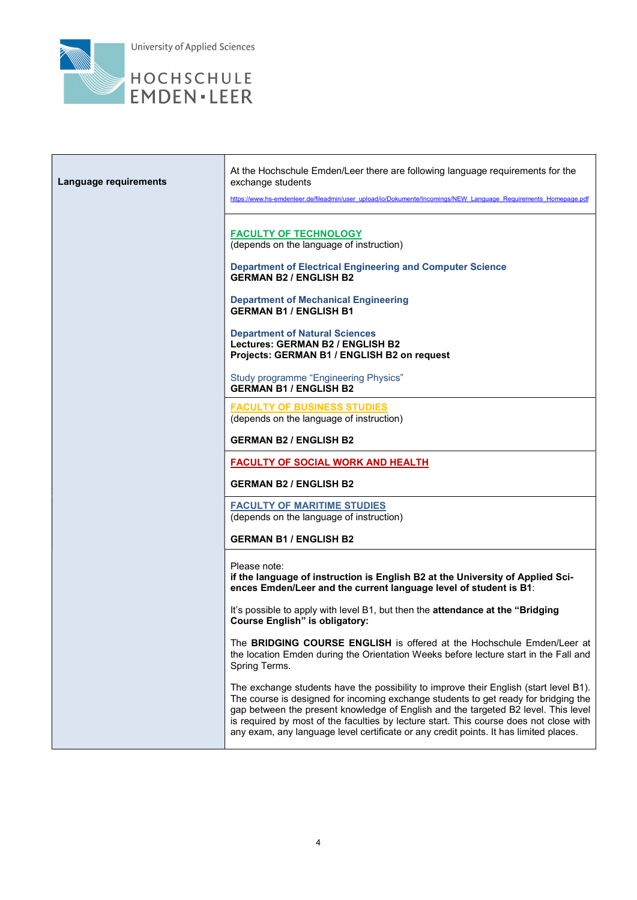

| Language requirements | At the Hochschule Emden/Leer there are following language requirements for the<br>exchange students<br>https://www.hs-emdenleer.de/fileadmin/user_upload/io/Dokumente/Incomings/NEW_Language_Requirements_Homepage.pdf                                                                                                                                                                                                                                |
|-----------------------|-------------------------------------------------------------------------------------------------------------------------------------------------------------------------------------------------------------------------------------------------------------------------------------------------------------------------------------------------------------------------------------------------------------------------------------------------------|
|                       | <b>FACULTY OF TECHNOLOGY</b><br>(depends on the language of instruction)<br><b>Department of Electrical Engineering and Computer Science</b><br><b>GERMAN B2 / ENGLISH B2</b>                                                                                                                                                                                                                                                                         |
|                       | <b>Department of Mechanical Engineering</b><br><b>GERMAN B1 / ENGLISH B1</b>                                                                                                                                                                                                                                                                                                                                                                          |
|                       | <b>Department of Natural Sciences</b><br>Lectures: GERMAN B2 / ENGLISH B2<br>Projects: GERMAN B1 / ENGLISH B2 on request                                                                                                                                                                                                                                                                                                                              |
|                       | <b>Study programme "Engineering Physics"</b><br><b>GERMAN B1 / ENGLISH B2</b>                                                                                                                                                                                                                                                                                                                                                                         |
|                       | <b>FACULTY OF BUSINESS STUDIES</b><br>(depends on the language of instruction)                                                                                                                                                                                                                                                                                                                                                                        |
|                       | <b>GERMAN B2 / ENGLISH B2</b>                                                                                                                                                                                                                                                                                                                                                                                                                         |
|                       | <b>FACULTY OF SOCIAL WORK AND HEALTH</b>                                                                                                                                                                                                                                                                                                                                                                                                              |
|                       | <b>GERMAN B2 / ENGLISH B2</b>                                                                                                                                                                                                                                                                                                                                                                                                                         |
|                       | <b>FACULTY OF MARITIME STUDIES</b><br>(depends on the language of instruction)                                                                                                                                                                                                                                                                                                                                                                        |
|                       | <b>GERMAN B1 / ENGLISH B2</b>                                                                                                                                                                                                                                                                                                                                                                                                                         |
|                       | Please note:<br>if the language of instruction is English B2 at the University of Applied Sci-<br>ences Emden/Leer and the current language level of student is B1:                                                                                                                                                                                                                                                                                   |
|                       | It's possible to apply with level B1, but then the attendance at the "Bridging<br><b>Course English" is obligatory:</b>                                                                                                                                                                                                                                                                                                                               |
|                       | The BRIDGING COURSE ENGLISH is offered at the Hochschule Emden/Leer at<br>the location Emden during the Orientation Weeks before lecture start in the Fall and<br>Spring Terms.                                                                                                                                                                                                                                                                       |
|                       | The exchange students have the possibility to improve their English (start level B1).<br>The course is designed for incoming exchange students to get ready for bridging the<br>gap between the present knowledge of English and the targeted B2 level. This level<br>is required by most of the faculties by lecture start. This course does not close with<br>any exam, any language level certificate or any credit points. It has limited places. |